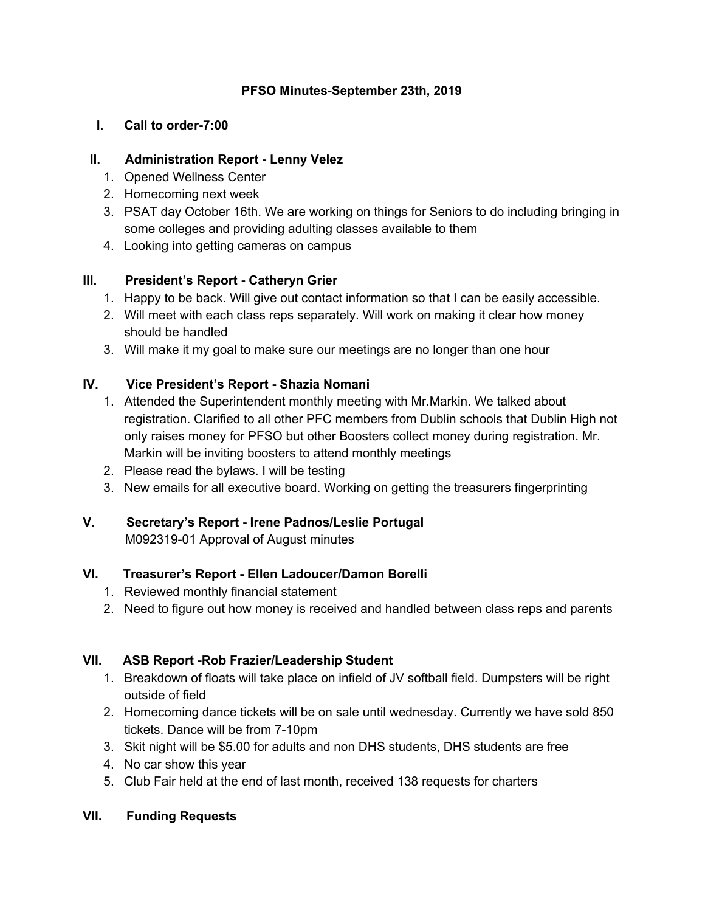# **PFSO Minutes-September 23th, 2019**

#### **I. Call to order-7:00**

#### **II. Administration Report - Lenny Velez**

- 1. Opened Wellness Center
- 2. Homecoming next week
- 3. PSAT day October 16th. We are working on things for Seniors to do including bringing in some colleges and providing adulting classes available to them
- 4. Looking into getting cameras on campus

# **III. President's Report - Catheryn Grier**

- 1. Happy to be back. Will give out contact information so that I can be easily accessible.
- 2. Will meet with each class reps separately. Will work on making it clear how money should be handled
- 3. Will make it my goal to make sure our meetings are no longer than one hour

# **IV. Vice President's Report - Shazia Nomani**

- 1. Attended the Superintendent monthly meeting with Mr.Markin. We talked about registration. Clarified to all other PFC members from Dublin schools that Dublin High not only raises money for PFSO but other Boosters collect money during registration. Mr. Markin will be inviting boosters to attend monthly meetings
- 2. Please read the bylaws. I will be testing
- 3. New emails for all executive board. Working on getting the treasurers fingerprinting

# **V. Secretary's Report - Irene Padnos/Leslie Portugal**

M092319-01 Approval of August minutes

# **VI. Treasurer's Report - Ellen Ladoucer/Damon Borelli**

- 1. Reviewed monthly financial statement
- 2. Need to figure out how money is received and handled between class reps and parents

# **VII. ASB Report -Rob Frazier/Leadership Student**

- 1. Breakdown of floats will take place on infield of JV softball field. Dumpsters will be right outside of field
- 2. Homecoming dance tickets will be on sale until wednesday. Currently we have sold 850 tickets. Dance will be from 7-10pm
- 3. Skit night will be \$5.00 for adults and non DHS students, DHS students are free
- 4. No car show this year
- 5. Club Fair held at the end of last month, received 138 requests for charters

# **VII. Funding Requests**